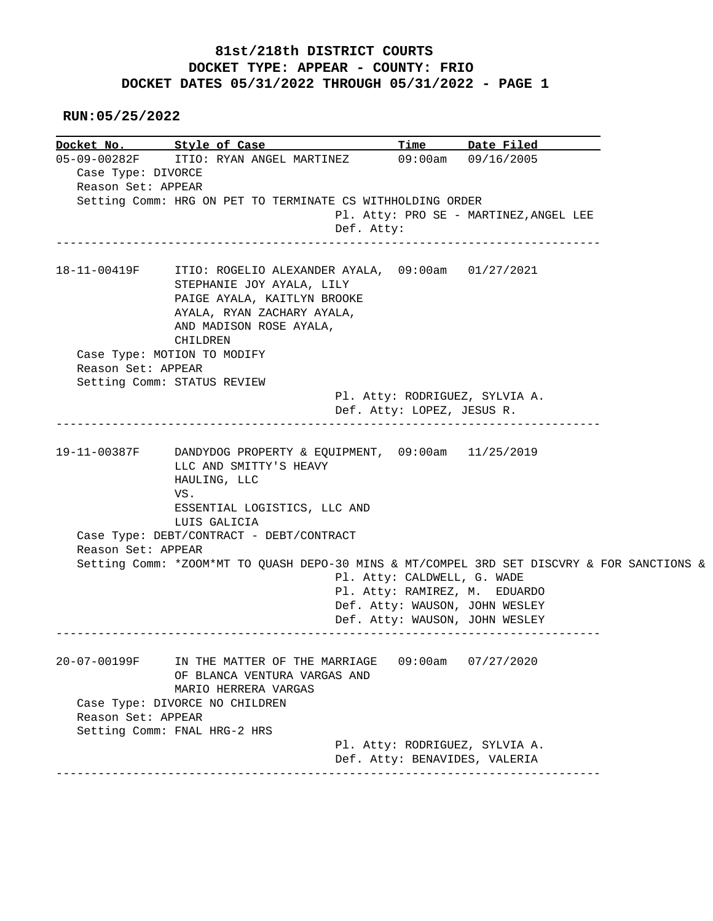## **81st/218th DISTRICT COURTS DOCKET TYPE: APPEAR - COUNTY: FRIO DOCKET DATES 05/31/2022 THROUGH 05/31/2022 - PAGE 1**

 **RUN:05/25/2022**

**Docket No. Style of Case Time Date Filed** 15-09-00282F ITIO: RYAN ANGEL MARTINEZ 09:00am 09/16/2005 ITIO: RYAN ANGEL MARTINEZ 09:00am 09/16/2005 Case Type: DIVORCE Reason Set: APPEAR Setting Comm: HRG ON PET TO TERMINATE CS WITHHOLDING ORDER Pl. Atty: PRO SE - MARTINEZ,ANGEL LEE Def. Atty: ------------------------------------------------------------------------------ 18-11-00419F ITIO: ROGELIO ALEXANDER AYALA, 09:00am 01/27/2021 STEPHANIE JOY AYALA, LILY PAIGE AYALA, KAITLYN BROOKE AYALA, RYAN ZACHARY AYALA, AND MADISON ROSE AYALA, CHILDREN Case Type: MOTION TO MODIFY Reason Set: APPEAR Setting Comm: STATUS REVIEW Pl. Atty: RODRIGUEZ, SYLVIA A. Def. Atty: LOPEZ, JESUS R. ------------------------------------------------------------------------------ 19-11-00387F DANDYDOG PROPERTY & EQUIPMENT, 09:00am 11/25/2019 LLC AND SMITTY'S HEAVY HAULING, LLC VS. ESSENTIAL LOGISTICS, LLC AND LUIS GALICIA Case Type: DEBT/CONTRACT - DEBT/CONTRACT Reason Set: APPEAR Setting Comm: \*ZOOM\*MT TO QUASH DEPO-30 MINS & MT/COMPEL 3RD SET DISCVRY & FOR SANCTIONS & Pl. Atty: CALDWELL, G. WADE Pl. Atty: RAMIREZ, M. EDUARDO Def. Atty: WAUSON, JOHN WESLEY Def. Atty: WAUSON, JOHN WESLEY ------------------------------------------------------------------------------ 20-07-00199F IN THE MATTER OF THE MARRIAGE 09:00am 07/27/2020 OF BLANCA VENTURA VARGAS AND MARIO HERRERA VARGAS Case Type: DIVORCE NO CHILDREN Reason Set: APPEAR Setting Comm: FNAL HRG-2 HRS Pl. Atty: RODRIGUEZ, SYLVIA A. Def. Atty: BENAVIDES, VALERIA ------------------------------------------------------------------------------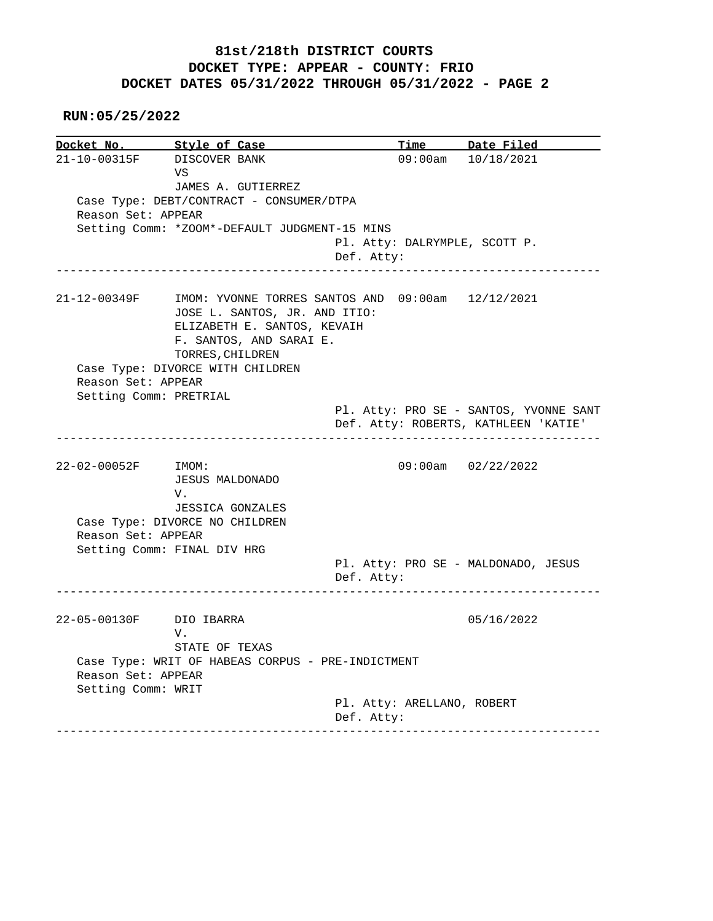## **81st/218th DISTRICT COURTS DOCKET TYPE: APPEAR - COUNTY: FRIO DOCKET DATES 05/31/2022 THROUGH 05/31/2022 - PAGE 2**

 **RUN:05/25/2022**

**Docket No. Style of Case Time Date Filed**  21-10-00315F DISCOVER BANK 09:00am 10/18/2021 VS JAMES A. GUTIERREZ Case Type: DEBT/CONTRACT - CONSUMER/DTPA Reason Set: APPEAR Setting Comm: \*ZOOM\*-DEFAULT JUDGMENT-15 MINS Pl. Atty: DALRYMPLE, SCOTT P. Def. Atty: ------------------------------------------------------------------------------ 21-12-00349F IMOM: YVONNE TORRES SANTOS AND 09:00am 12/12/2021 JOSE L. SANTOS, JR. AND ITIO: ELIZABETH E. SANTOS, KEVAIH F. SANTOS, AND SARAI E. TORRES,CHILDREN Case Type: DIVORCE WITH CHILDREN Reason Set: APPEAR Setting Comm: PRETRIAL Pl. Atty: PRO SE - SANTOS, YVONNE SANT Def. Atty: ROBERTS, KATHLEEN 'KATIE' ------------------------------------------------------------------------------ 22-02-00052F IMOM: 09:00am 02/22/2022 JESUS MALDONADO V. JESSICA GONZALES Case Type: DIVORCE NO CHILDREN Reason Set: APPEAR Setting Comm: FINAL DIV HRG Pl. Atty: PRO SE - MALDONADO, JESUS Def. Atty: ------------------------------------------------------------------------------ 22-05-00130F DIO IBARRA 05/16/2022 V. STATE OF TEXAS Case Type: WRIT OF HABEAS CORPUS - PRE-INDICTMENT Reason Set: APPEAR Setting Comm: WRIT Pl. Atty: ARELLANO, ROBERT Def. Atty: ------------------------------------------------------------------------------